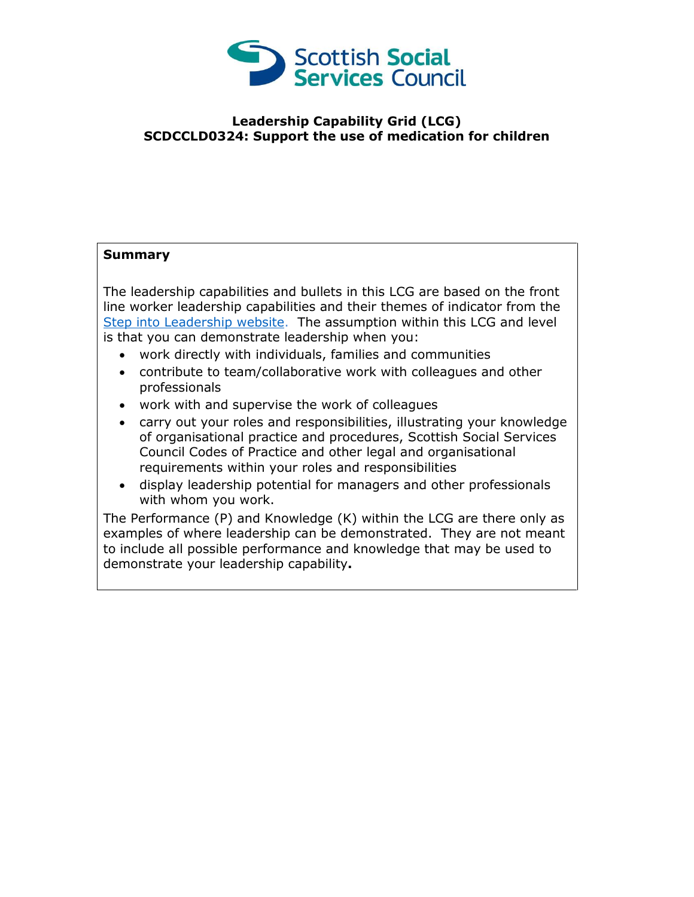

## **Leadership Capability Grid (LCG) SCDCCLD0324: Support the use of medication for children**

## **Summary**

The leadership capabilities and bullets in this LCG are based on the front line worker leadership capabilities and their themes of indicator from the [Step into Leadership website.](http://www.stepintoleadership.info/) The assumption within this LCG and level is that you can demonstrate leadership when you:

- work directly with individuals, families and communities
- contribute to team/collaborative work with colleagues and other professionals
- work with and supervise the work of colleagues
- carry out your roles and responsibilities, illustrating your knowledge of organisational practice and procedures, Scottish Social Services Council Codes of Practice and other legal and organisational requirements within your roles and responsibilities
- display leadership potential for managers and other professionals with whom you work.

The Performance (P) and Knowledge (K) within the LCG are there only as examples of where leadership can be demonstrated. They are not meant to include all possible performance and knowledge that may be used to demonstrate your leadership capability**.**